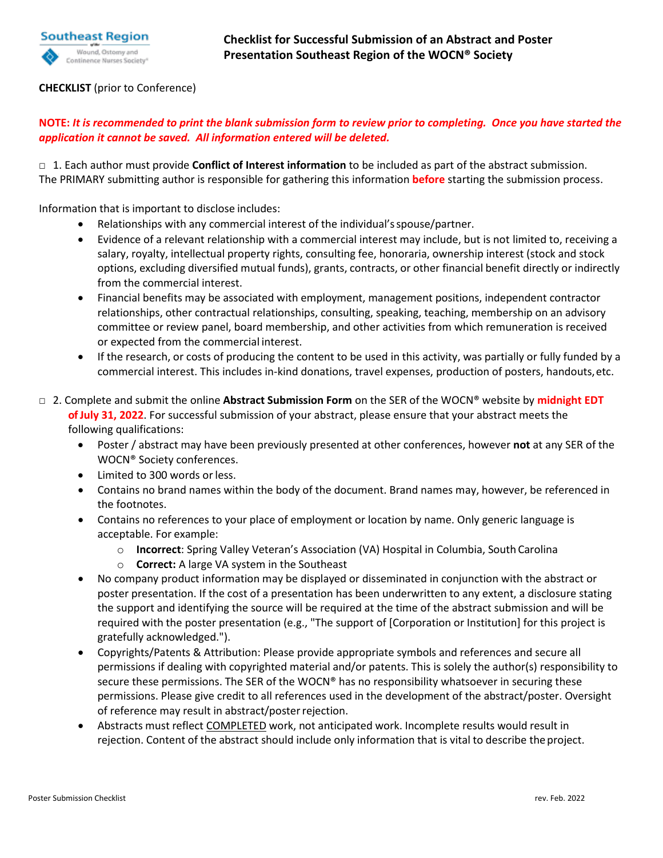

## **CHECKLIST** (prior to Conference)

## **NOTE:** *It is recommended to print the blank submission form to review prior to completing. Once you have started the application it cannot be saved. All information entered will be deleted.*

□ 1. Each author must provide **Conflict of Interest information** to be included as part of the abstract submission. The PRIMARY submitting author is responsible for gathering this information **before** starting the submission process.

Information that is important to disclose includes:

- Relationships with any commercial interest of the individual'sspouse/partner.
- Evidence of a relevant relationship with a commercial interest may include, but is not limited to, receiving a salary, royalty, intellectual property rights, consulting fee, honoraria, ownership interest (stock and stock options, excluding diversified mutual funds), grants, contracts, or other financial benefit directly or indirectly from the commercial interest.
- Financial benefits may be associated with employment, management positions, independent contractor relationships, other contractual relationships, consulting, speaking, teaching, membership on an advisory committee or review panel, board membership, and other activities from which remuneration is received or expected from the commercial interest.
- If the research, or costs of producing the content to be used in this activity, was partially or fully funded by a commercial interest. This includes in-kind donations, travel expenses, production of posters, handouts,etc.
- □ 2. Complete and submit the online **Abstract Submission Form** on the SER of the WOCN® website by **midnight EDT ofJuly 31, 2022**. For successful submission of your abstract, please ensure that your abstract meets the following qualifications:
	- Poster / abstract may have been previously presented at other conferences, however **not** at any SER of the WOCN® Society conferences.
	- Limited to 300 words orless.
	- Contains no brand names within the body of the document. Brand names may, however, be referenced in the footnotes.
	- Contains no references to your place of employment or location by name. Only generic language is acceptable. For example:
		- o **Incorrect**: Spring Valley Veteran's Association (VA) Hospital in Columbia, South Carolina
		- o **Correct:** A large VA system in the Southeast
	- No company product information may be displayed or disseminated in conjunction with the abstract or poster presentation. If the cost of a presentation has been underwritten to any extent, a disclosure stating the support and identifying the source will be required at the time of the abstract submission and will be required with the poster presentation (e.g., "The support of [Corporation or Institution] for this project is gratefully acknowledged.").
	- Copyrights/Patents & Attribution: Please provide appropriate symbols and references and secure all permissions if dealing with copyrighted material and/or patents. This is solely the author(s) responsibility to secure these permissions. The SER of the WOCN® has no responsibility whatsoever in securing these permissions. Please give credit to all references used in the development of the abstract/poster. Oversight of reference may result in abstract/posterrejection.
	- Abstracts must reflect COMPLETED work, not anticipated work. Incomplete results would result in rejection. Content of the abstract should include only information that is vital to describe the project.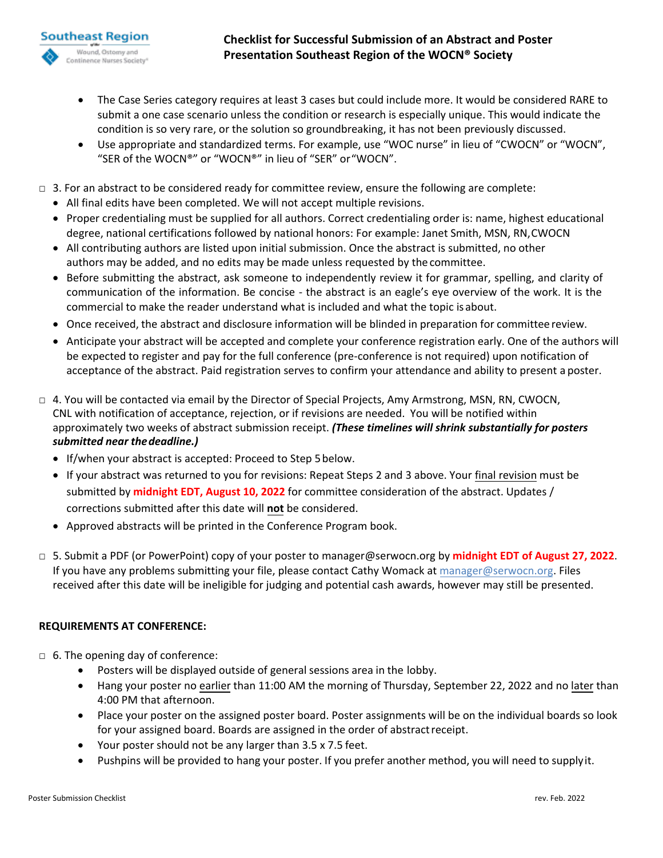- The Case Series category requires at least 3 cases but could include more. It would be considered RARE to submit a one case scenario unless the condition or research is especially unique. This would indicate the condition is so very rare, or the solution so groundbreaking, it has not been previously discussed.
- Use appropriate and standardized terms. For example, use "WOC nurse" in lieu of "CWOCN" or "WOCN", "SER of the WOCN®" or "WOCN®" in lieu of "SER" or"WOCN".
- $\Box$  3. For an abstract to be considered ready for committee review, ensure the following are complete:
	- All final edits have been completed. We will not accept multiple revisions.
	- Proper credentialing must be supplied for all authors. Correct credentialing order is: name, highest educational degree, national certifications followed by national honors: For example: Janet Smith, MSN, RN, CWOCN
	- All contributing authors are listed upon initial submission. Once the abstract is submitted, no other authors may be added, and no edits may be made unless requested by the committee.
	- Before submitting the abstract, ask someone to independently review it for grammar, spelling, and clarity of communication of the information. Be concise - the abstract is an eagle's eye overview of the work. It is the commercial to make the reader understand what is included and what the topic is about.
	- Once received, the abstract and disclosure information will be blinded in preparation for committee review.
	- Anticipate your abstract will be accepted and complete your conference registration early. One of the authors will be expected to register and pay for the full conference (pre-conference is not required) upon notification of acceptance of the abstract. Paid registration serves to confirm your attendance and ability to present a poster.
- $\Box$  4. You will be contacted via email by the Director of Special Projects, Amy Armstrong, MSN, RN, CWOCN, CNL with notification of acceptance, rejection, or if revisions are needed. You will be notified within approximately two weeks of abstract submission receipt. *(These timelines will shrink substantially for posters submitted near the deadline.)*
	- If/when your abstract is accepted: Proceed to Step 5 below.
	- If your abstract was returned to you for revisions: Repeat Steps 2 and 3 above. Your final revision must be submitted by **midnight EDT, August 10, 2022** for committee consideration of the abstract. Updates / corrections submitted after this date will **not** be considered.
	- Approved abstracts will be printed in the Conference Program book.
- □ 5. Submit a PDF (or PowerPoint) copy of your poster to manager[@serwocn.org by](mailto:bhe@serwocn.org) **midnight EDT of August 27, 2022**. If you have any problems submitting your file, please contact Cathy Womack at manager[@serwocn.org.](mailto:manager@serwocn.org) Files received after this date will be ineligible for judging and potential cash awards, however may still be presented.

## **REQUIREMENTS AT CONFERENCE:**

**Southeast Region** Wound, Ostomy and ontinence Nurses Society

- □ 6. The opening day of conference:
	- Posters will be displayed outside of general sessions area in the lobby.
	- Hang your poster no earlier than 11:00 AM the morning of Thursday, September 22, 2022 and no later than 4:00 PM that afternoon.
	- Place your poster on the assigned poster board. Poster assignments will be on the individual boards so look for your assigned board. Boards are assigned in the order of abstract receipt.
	- Your poster should not be any larger than 3.5 x 7.5 feet.
	- Pushpins will be provided to hang your poster. If you prefer another method, you will need to supply it.